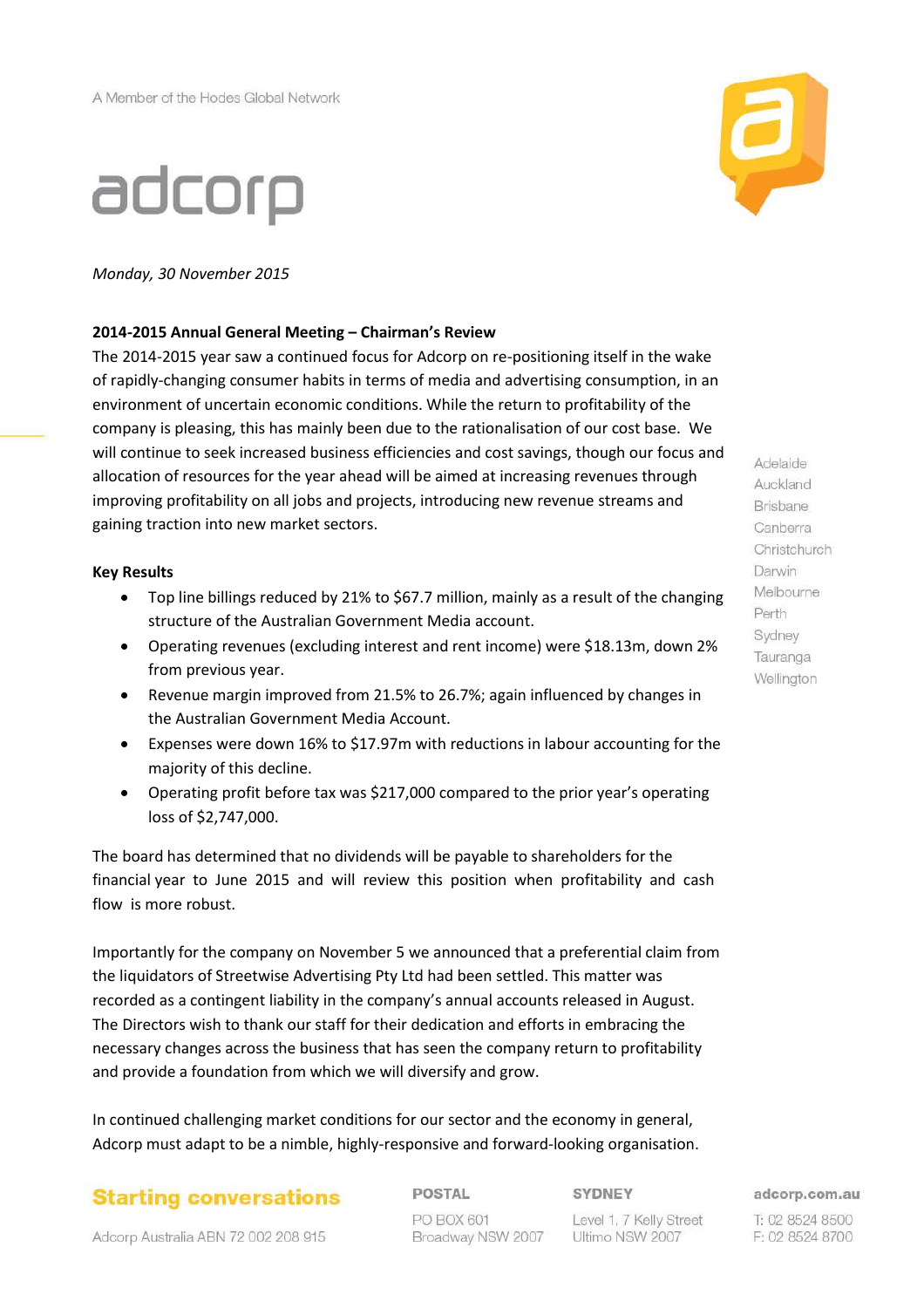# adcorp



*Monday, 30 November 2015*

## **2014-2015 Annual General Meeting – Chairman's Review**

The 2014-2015 year saw a continued focus for Adcorp on re-positioning itself in the wake of rapidly-changing consumer habits in terms of media and advertising consumption, in an environment of uncertain economic conditions. While the return to profitability of the company is pleasing, this has mainly been due to the rationalisation of our cost base. We will continue to seek increased business efficiencies and cost savings, though our focus and allocation of resources for the year ahead will be aimed at increasing revenues through improving profitability on all jobs and projects, introducing new revenue streams and gaining traction into new market sectors.

## **Key Results**

- Top line billings reduced by 21% to \$67.7 million, mainly as a result of the changing structure of the Australian Government Media account.
- Operating revenues (excluding interest and rent income) were \$18.13m, down 2% from previous year.
- Revenue margin improved from 21.5% to 26.7%; again influenced by changes in the Australian Government Media Account.
- Expenses were down 16% to \$17.97m with reductions in labour accounting for the majority of this decline.
- Operating profit before tax was \$217,000 compared to the prior year's operating loss of \$2,747,000.

The board has determined that no dividends will be payable to shareholders for the financial year to June 2015 and will review this position when profitability and cash flow is more robust.

Importantly for the company on November 5 we announced that a preferential claim from the liquidators of Streetwise Advertising Pty Ltd had been settled. This matter was recorded as a contingent liability in the company's annual accounts released in August. The Directors wish to thank our staff for their dedication and efforts in embracing the necessary changes across the business that has seen the company return to profitability and provide a foundation from which we will diversify and grow.

In continued challenging market conditions for our sector and the economy in general, Adcorp must adapt to be a nimble, highly-responsive and forward-looking organisation.

## **Starting conversations**

POSTAL PO BOX 601 Broadway NSW 2007

### SYDNEY

Level 1, 7 Kelly Street Ultimo NSW 2007

Adelaide Auckland Brisbane Canberra Christchurch Darwin Melbourne Perth Sydney Tauranga Wellington

adcorp.com.au

T: 02 8524 8500 F: 02 8524 8700

### Adcorp Australia ABN 72 002 208 915